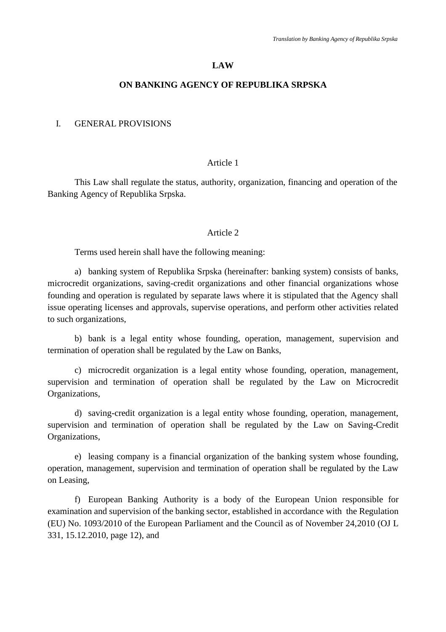#### **LAW**

#### **ON BANKING AGENCY OF REPUBLIKA SRPSKA**

### I. GENERAL PROVISIONS

#### Article 1

This Law shall regulate the status, authority, organization, financing and operation of the Banking Agency of Republika Srpska.

#### Article 2

Terms used herein shall have the following meaning:

a) banking system of Republika Srpska (hereinafter: banking system) consists of banks, microcredit organizations, saving-credit organizations and other financial organizations whose founding and operation is regulated by separate laws where it is stipulated that the Agency shall issue operating licenses and approvals, supervise operations, and perform other activities related to such organizations,

b) bank is a legal entity whose founding, operation, management, supervision and termination of operation shall be regulated by the Law on Banks,

c) microcredit organization is a legal entity whose founding, operation, management, supervision and termination of operation shall be regulated by the Law on Microcredit Organizations,

d) saving-credit organization is a legal entity whose founding, operation, management, supervision and termination of operation shall be regulated by the Law on Saving-Credit Organizations,

e) leasing company is a financial organization of the banking system whose founding, operation, management, supervision and termination of operation shall be regulated by the Law on Leasing,

f) European Banking Authority is a body of the European Union responsible for examination and supervision of the banking sector, established in accordance with the Regulation (EU) No. 1093/2010 of the European Parliament and the Council as of November 24,2010 (OJ L 331, 15.12.2010, page 12), and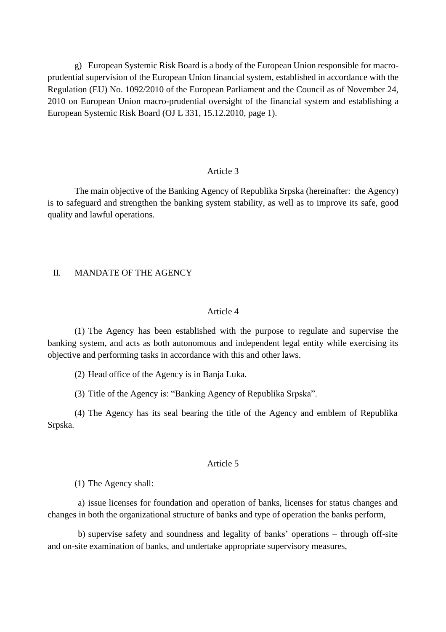g) European Systemic Risk Board is a body of the European Union responsible for macroprudential supervision of the European Union financial system, established in accordance with the Regulation (EU) No. 1092/2010 of the European Parliament and the Council as of November 24, 2010 on European Union macro-prudential oversight of the financial system and establishing a European Systemic Risk Board (OJ L 331, 15.12.2010, page 1).

#### Article 3

The main objective of the Banking Agency of Republika Srpska (hereinafter: the Agency) is to safeguard and strengthen the banking system stability, as well as to improve its safe, good quality and lawful operations.

### II. MANDATE OF THE AGENCY

#### Article 4

(1) The Agency has been established with the purpose to regulate and supervise the banking system, and acts as both autonomous and independent legal entity while exercising its objective and performing tasks in accordance with this and other laws.

(2) Head office of the Agency is in Banja Luka.

(3) Title of the Agency is: "Banking Agency of Republika Srpska".

(4) The Agency has its seal bearing the title of the Agency and emblem of Republika Srpska.

#### Article 5

(1) The Agency shall:

a) issue licenses for foundation and operation of banks, licenses for status changes and changes in both the organizational structure of banks and type of operation the banks perform,

b) supervise safety and soundness and legality of banks' operations – through off-site and on-site examination of banks, and undertake appropriate supervisory measures,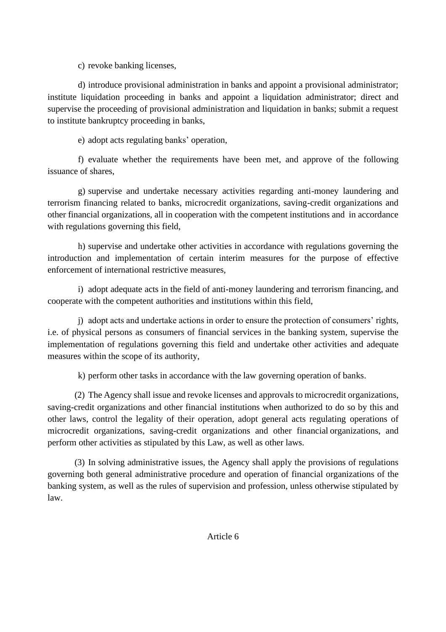c) revoke banking licenses,

d) introduce provisional administration in banks and appoint a provisional administrator; institute liquidation proceeding in banks and appoint a liquidation administrator; direct and supervise the proceeding of provisional administration and liquidation in banks; submit a request to institute bankruptcy proceeding in banks,

e) adopt acts regulating banks' operation,

f) evaluate whether the requirements have been met, and approve of the following issuance of shares,

g) supervise and undertake necessary activities regarding anti-money laundering and terrorism financing related to banks, microcredit organizations, saving-credit organizations and other financial organizations, all in cooperation with the competent institutions and in accordance with regulations governing this field,

h) supervise and undertake other activities in accordance with regulations governing the introduction and implementation of certain interim measures for the purpose of effective enforcement of international restrictive measures,

i) adopt adequate acts in the field of anti-money laundering and terrorism financing, and cooperate with the competent authorities and institutions within this field,

j) adopt acts and undertake actions in order to ensure the protection of consumers' rights, i.e. of physical persons as consumers of financial services in the banking system, supervise the implementation of regulations governing this field and undertake other activities and adequate measures within the scope of its authority,

k) perform other tasks in accordance with the law governing operation of banks.

(2) The Agency shall issue and revoke licenses and approvals to microcredit organizations, saving-credit organizations and other financial institutions when authorized to do so by this and other laws, control the legality of their operation, adopt general acts regulating operations of microcredit organizations, saving-credit organizations and other financial organizations, and perform other activities as stipulated by this Law, as well as other laws.

(3) In solving administrative issues, the Agency shall apply the provisions of regulations governing both general administrative procedure and operation of financial organizations of the banking system, as well as the rules of supervision and profession, unless otherwise stipulated by law.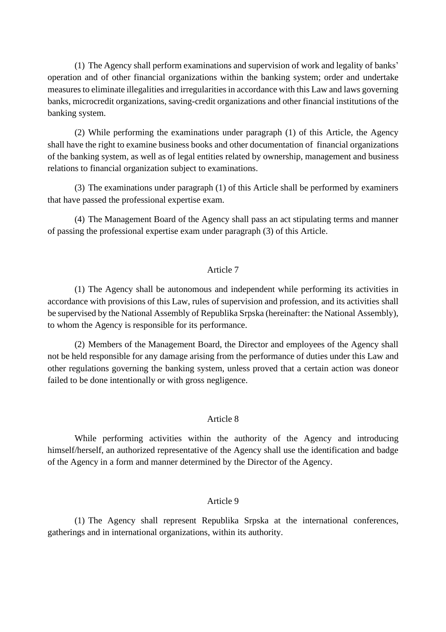(1) The Agency shall perform examinations and supervision of work and legality of banks' operation and of other financial organizations within the banking system; order and undertake measures to eliminate illegalities and irregularities in accordance with this Law and laws governing banks, microcredit organizations, saving-credit organizations and other financial institutions of the banking system.

(2) While performing the examinations under paragraph (1) of this Article, the Agency shall have the right to examine business books and other documentation of financial organizations of the banking system, as well as of legal entities related by ownership, management and business relations to financial organization subject to examinations.

(3) The examinations under paragraph (1) of this Article shall be performed by examiners that have passed the professional expertise exam.

(4) The Management Board of the Agency shall pass an act stipulating terms and manner of passing the professional expertise exam under paragraph (3) of this Article.

#### Article 7

(1) The Agency shall be autonomous and independent while performing its activities in accordance with provisions of this Law, rules of supervision and profession, and its activities shall be supervised by the National Assembly of Republika Srpska (hereinafter: the National Assembly), to whom the Agency is responsible for its performance.

(2) Members of the Management Board, the Director and employees of the Agency shall not be held responsible for any damage arising from the performance of duties under this Law and other regulations governing the banking system, unless proved that a certain action was doneor failed to be done intentionally or with gross negligence.

### Article 8

While performing activities within the authority of the Agency and introducing himself/herself, an authorized representative of the Agency shall use the identification and badge of the Agency in a form and manner determined by the Director of the Agency.

### Article 9

(1) The Agency shall represent Republika Srpska at the international conferences, gatherings and in international organizations, within its authority.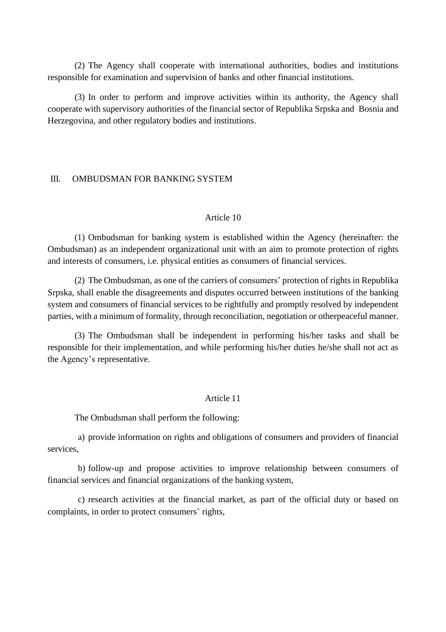(2) The Agency shall cooperate with international authorities, bodies and institutions responsible for examination and supervision of banks and other financial institutions.

(3) In order to perform and improve activities within its authority, the Agency shall cooperate with supervisory authorities of the financial sector of Republika Srpska and Bosnia and Herzegovina, and other regulatory bodies and institutions.

#### III. OMBUDSMAN FOR BANKING SYSTEM

#### Article 10

(1) Ombudsman for banking system is established within the Agency (hereinafter: the Ombudsman) as an independent organizational unit with an aim to promote protection of rights and interests of consumers, i.e. physical entities as consumers of financial services.

(2) The Ombudsman, as one of the carriers of consumers' protection of rights in Republika Srpska, shall enable the disagreements and disputes occurred between institutions of the banking system and consumers of financial services to be rightfully and promptly resolved by independent parties, with a minimum of formality, through reconciliation, negotiation or otherpeaceful manner.

(3) The Ombudsman shall be independent in performing his/her tasks and shall be responsible for their implementation, and while performing his/her duties he/she shall not act as the Agency's representative.

#### Article 11

The Ombudsman shall perform the following:

a) provide information on rights and obligations of consumers and providers of financial services,

b) follow-up and propose activities to improve relationship between consumers of financial services and financial organizations of the banking system,

c) research activities at the financial market, as part of the official duty or based on complaints, in order to protect consumers' rights,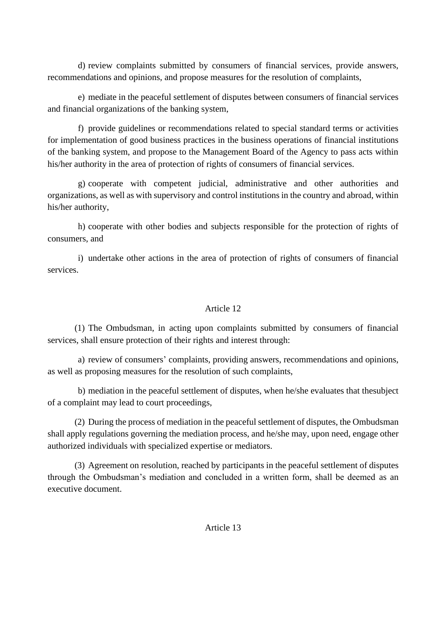d) review complaints submitted by consumers of financial services, provide answers, recommendations and opinions, and propose measures for the resolution of complaints,

e) mediate in the peaceful settlement of disputes between consumers of financial services and financial organizations of the banking system,

f) provide guidelines or recommendations related to special standard terms or activities for implementation of good business practices in the business operations of financial institutions of the banking system, and propose to the Management Board of the Agency to pass acts within his/her authority in the area of protection of rights of consumers of financial services.

g) cooperate with competent judicial, administrative and other authorities and organizations, as well as with supervisory and control institutions in the country and abroad, within his/her authority,

h) cooperate with other bodies and subjects responsible for the protection of rights of consumers, and

i) undertake other actions in the area of protection of rights of consumers of financial services.

# Article 12

(1) The Ombudsman, in acting upon complaints submitted by consumers of financial services, shall ensure protection of their rights and interest through:

a) review of consumers' complaints, providing answers, recommendations and opinions, as well as proposing measures for the resolution of such complaints,

b) mediation in the peaceful settlement of disputes, when he/she evaluates that thesubject of a complaint may lead to court proceedings,

(2) During the process of mediation in the peaceful settlement of disputes, the Ombudsman shall apply regulations governing the mediation process, and he/she may, upon need, engage other authorized individuals with specialized expertise or mediators.

(3) Agreement on resolution, reached by participants in the peaceful settlement of disputes through the Ombudsman's mediation and concluded in a written form, shall be deemed as an executive document.

Article 13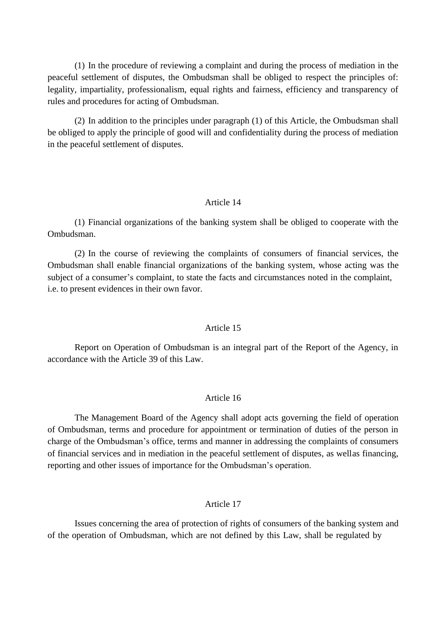(1) In the procedure of reviewing a complaint and during the process of mediation in the peaceful settlement of disputes, the Ombudsman shall be obliged to respect the principles of: legality, impartiality, professionalism, equal rights and fairness, efficiency and transparency of rules and procedures for acting of Ombudsman.

(2) In addition to the principles under paragraph (1) of this Article, the Ombudsman shall be obliged to apply the principle of good will and confidentiality during the process of mediation in the peaceful settlement of disputes.

### Article 14

(1) Financial organizations of the banking system shall be obliged to cooperate with the Ombudsman.

(2) In the course of reviewing the complaints of consumers of financial services, the Ombudsman shall enable financial organizations of the banking system, whose acting was the subject of a consumer's complaint, to state the facts and circumstances noted in the complaint, i.e. to present evidences in their own favor.

#### Article 15

Report on Operation of Ombudsman is an integral part of the Report of the Agency, in accordance with the Article 39 of this Law.

### Article 16

The Management Board of the Agency shall adopt acts governing the field of operation of Ombudsman, terms and procedure for appointment or termination of duties of the person in charge of the Ombudsman's office, terms and manner in addressing the complaints of consumers of financial services and in mediation in the peaceful settlement of disputes, as wellas financing, reporting and other issues of importance for the Ombudsman's operation.

#### Article 17

Issues concerning the area of protection of rights of consumers of the banking system and of the operation of Ombudsman, which are not defined by this Law, shall be regulated by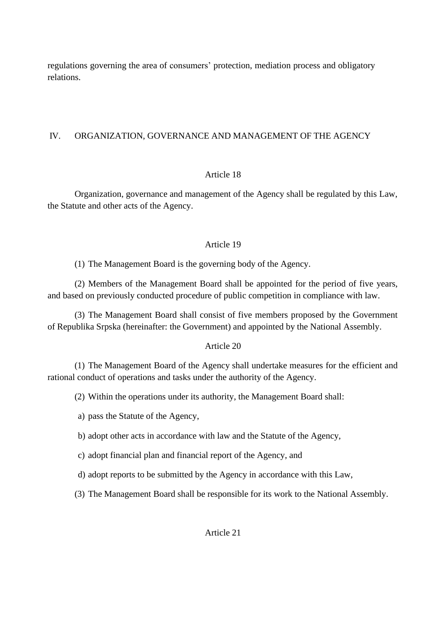regulations governing the area of consumers' protection, mediation process and obligatory relations.

## IV. ORGANIZATION, GOVERNANCE AND MANAGEMENT OF THE AGENCY

## Article 18

Organization, governance and management of the Agency shall be regulated by this Law, the Statute and other acts of the Agency.

## Article 19

(1) The Management Board is the governing body of the Agency.

(2) Members of the Management Board shall be appointed for the period of five years, and based on previously conducted procedure of public competition in compliance with law.

(3) The Management Board shall consist of five members proposed by the Government of Republika Srpska (hereinafter: the Government) and appointed by the National Assembly.

## Article 20

(1) The Management Board of the Agency shall undertake measures for the efficient and rational conduct of operations and tasks under the authority of the Agency.

(2) Within the operations under its authority, the Management Board shall:

a) pass the Statute of the Agency,

b) adopt other acts in accordance with law and the Statute of the Agency,

c) adopt financial plan and financial report of the Agency, and

d) adopt reports to be submitted by the Agency in accordance with this Law,

(3) The Management Board shall be responsible for its work to the National Assembly.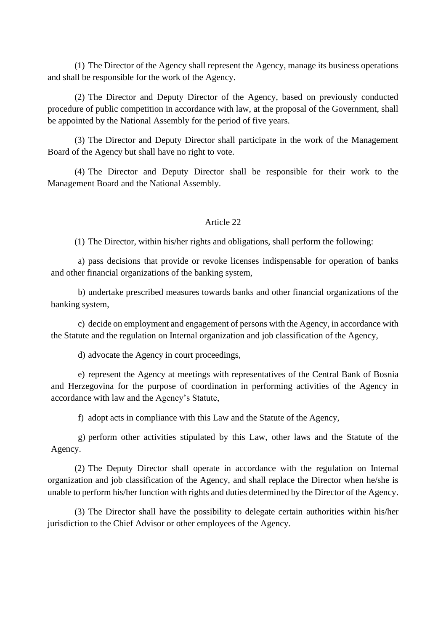(1) The Director of the Agency shall represent the Agency, manage its business operations and shall be responsible for the work of the Agency.

(2) The Director and Deputy Director of the Agency, based on previously conducted procedure of public competition in accordance with law, at the proposal of the Government, shall be appointed by the National Assembly for the period of five years.

(3) The Director and Deputy Director shall participate in the work of the Management Board of the Agency but shall have no right to vote.

(4) The Director and Deputy Director shall be responsible for their work to the Management Board and the National Assembly.

## Article 22

(1) The Director, within his/her rights and obligations, shall perform the following:

a) pass decisions that provide or revoke licenses indispensable for operation of banks and other financial organizations of the banking system,

b) undertake prescribed measures towards banks and other financial organizations of the banking system,

c) decide on employment and engagement of persons with the Agency, in accordance with the Statute and the regulation on Internal organization and job classification of the Agency,

d) advocate the Agency in court proceedings,

e) represent the Agency at meetings with representatives of the Central Bank of Bosnia and Herzegovina for the purpose of coordination in performing activities of the Agency in accordance with law and the Agency's Statute,

f) adopt acts in compliance with this Law and the Statute of the Agency,

g) perform other activities stipulated by this Law, other laws and the Statute of the Agency.

(2) The Deputy Director shall operate in accordance with the regulation on Internal organization and job classification of the Agency, and shall replace the Director when he/she is unable to perform his/her function with rights and duties determined by the Director of the Agency.

(3) The Director shall have the possibility to delegate certain authorities within his/her jurisdiction to the Chief Advisor or other employees of the Agency.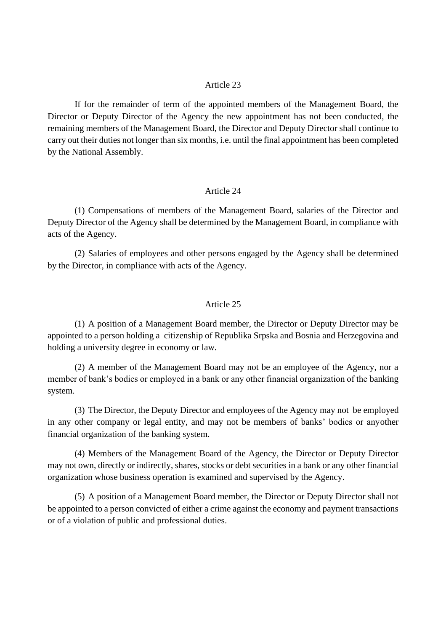If for the remainder of term of the appointed members of the Management Board, the Director or Deputy Director of the Agency the new appointment has not been conducted, the remaining members of the Management Board, the Director and Deputy Director shall continue to carry out their duties not longer than six months, i.e. until the final appointment has been completed by the National Assembly.

#### Article 24

(1) Compensations of members of the Management Board, salaries of the Director and Deputy Director of the Agency shall be determined by the Management Board, in compliance with acts of the Agency.

(2) Salaries of employees and other persons engaged by the Agency shall be determined by the Director, in compliance with acts of the Agency.

### Article 25

(1) A position of a Management Board member, the Director or Deputy Director may be appointed to a person holding a citizenship of Republika Srpska and Bosnia and Herzegovina and holding a university degree in economy or law.

(2) A member of the Management Board may not be an employee of the Agency, nor a member of bank's bodies or employed in a bank or any other financial organization of the banking system.

(3) The Director, the Deputy Director and employees of the Agency may not be employed in any other company or legal entity, and may not be members of banks' bodies or anyother financial organization of the banking system.

(4) Members of the Management Board of the Agency, the Director or Deputy Director may not own, directly or indirectly, shares, stocks or debt securities in a bank or any other financial organization whose business operation is examined and supervised by the Agency.

(5) A position of a Management Board member, the Director or Deputy Director shall not be appointed to a person convicted of either a crime against the economy and payment transactions or of a violation of public and professional duties.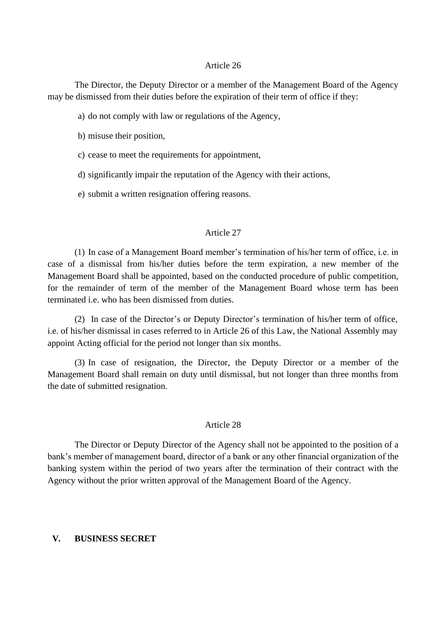The Director, the Deputy Director or a member of the Management Board of the Agency may be dismissed from their duties before the expiration of their term of office if they:

- a) do not comply with law or regulations of the Agency,
- b) misuse their position,
- c) cease to meet the requirements for appointment,
- d) significantly impair the reputation of the Agency with their actions,
- e) submit a written resignation offering reasons.

#### Article 27

(1) In case of a Management Board member's termination of his/her term of office, i.e. in case of a dismissal from his/her duties before the term expiration, a new member of the Management Board shall be appointed, based on the conducted procedure of public competition, for the remainder of term of the member of the Management Board whose term has been terminated i.e. who has been dismissed from duties.

(2) In case of the Director's or Deputy Director's termination of his/her term of office, i.e. of his/her dismissal in cases referred to in Article 26 of this Law, the National Assembly may appoint Acting official for the period not longer than six months.

(3) In case of resignation, the Director, the Deputy Director or a member of the Management Board shall remain on duty until dismissal, but not longer than three months from the date of submitted resignation.

### Article 28

The Director or Deputy Director of the Agency shall not be appointed to the position of a bank's member of management board, director of a bank or any other financial organization of the banking system within the period of two years after the termination of their contract with the Agency without the prior written approval of the Management Board of the Agency.

### **V. BUSINESS SECRET**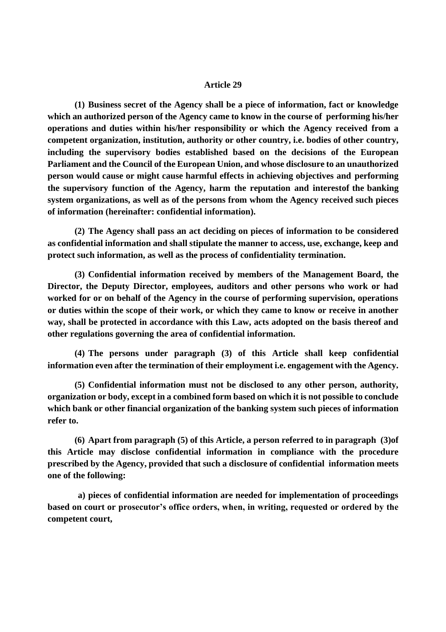**(1) Business secret of the Agency shall be a piece of information, fact or knowledge which an authorized person of the Agency came to know in the course of performing his/her operations and duties within his/her responsibility or which the Agency received from a competent organization, institution, authority or other country, i.e. bodies of other country, including the supervisory bodies established based on the decisions of the European Parliament and the Council of the European Union, and whose disclosure to an unauthorized person would cause or might cause harmful effects in achieving objectives and performing the supervisory function of the Agency, harm the reputation and interestof the banking system organizations, as well as of the persons from whom the Agency received such pieces of information (hereinafter: confidential information).**

**(2) The Agency shall pass an act deciding on pieces of information to be considered as confidential information and shall stipulate the manner to access, use, exchange, keep and protect such information, as well as the process of confidentiality termination.**

**(3) Confidential information received by members of the Management Board, the Director, the Deputy Director, employees, auditors and other persons who work or had worked for or on behalf of the Agency in the course of performing supervision, operations or duties within the scope of their work, or which they came to know or receive in another way, shall be protected in accordance with this Law, acts adopted on the basis thereof and other regulations governing the area of confidential information.**

**(4) The persons under paragraph (3) of this Article shall keep confidential information even after the termination of their employment i.e. engagement with the Agency.**

**(5) Confidential information must not be disclosed to any other person, authority, organization or body, except in a combined form based on which it is not possible to conclude which bank or other financial organization of the banking system such pieces of information refer to.**

**(6) Apart from paragraph (5) of this Article, a person referred to in paragraph (3)of this Article may disclose confidential information in compliance with the procedure prescribed by the Agency, provided that such a disclosure of confidential information meets one of the following:**

**a) pieces of confidential information are needed for implementation of proceedings based on court or prosecutor's office orders, when, in writing, requested or ordered by the competent court,**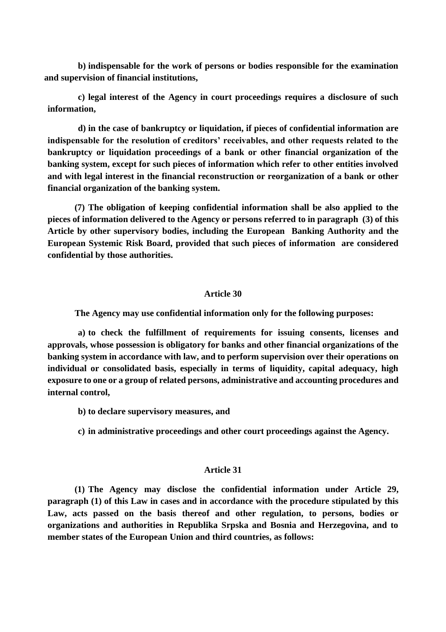**b) indispensable for the work of persons or bodies responsible for the examination and supervision of financial institutions,**

**c) legal interest of the Agency in court proceedings requires a disclosure of such information,**

**d) in the case of bankruptcy or liquidation, if pieces of confidential information are indispensable for the resolution of creditors' receivables, and other requests related to the bankruptcy or liquidation proceedings of a bank or other financial organization of the banking system, except for such pieces of information which refer to other entities involved and with legal interest in the financial reconstruction or reorganization of a bank or other financial organization of the banking system.**

**(7) The obligation of keeping confidential information shall be also applied to the pieces of information delivered to the Agency or persons referred to in paragraph (3) of this Article by other supervisory bodies, including the European Banking Authority and the European Systemic Risk Board, provided that such pieces of information are considered confidential by those authorities.**

#### **Article 30**

**The Agency may use confidential information only for the following purposes:**

**a) to check the fulfillment of requirements for issuing consents, licenses and approvals, whose possession is obligatory for banks and other financial organizations of the banking system in accordance with law, and to perform supervision over their operations on individual or consolidated basis, especially in terms of liquidity, capital adequacy, high exposure to one or a group of related persons, administrative and accounting procedures and internal control,**

- **b) to declare supervisory measures, and**
- **c) in administrative proceedings and other court proceedings against the Agency.**

#### **Article 31**

**(1) The Agency may disclose the confidential information under Article 29, paragraph (1) of this Law in cases and in accordance with the procedure stipulated by this Law, acts passed on the basis thereof and other regulation, to persons, bodies or organizations and authorities in Republika Srpska and Bosnia and Herzegovina, and to member states of the European Union and third countries, as follows:**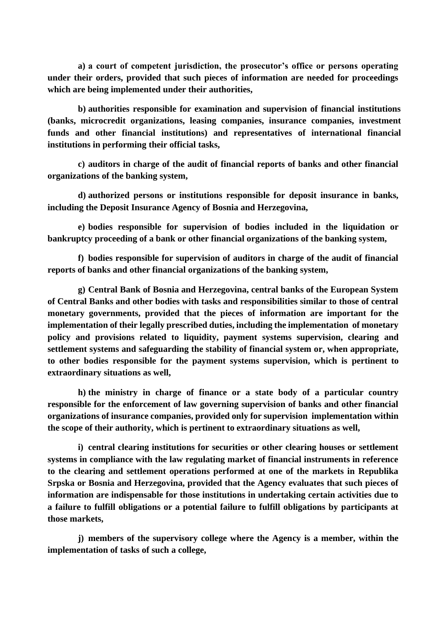**a) a court of competent jurisdiction, the prosecutor's office or persons operating under their orders, provided that such pieces of information are needed for proceedings which are being implemented under their authorities,**

**b) authorities responsible for examination and supervision of financial institutions (banks, microcredit organizations, leasing companies, insurance companies, investment funds and other financial institutions) and representatives of international financial institutions in performing their official tasks,**

**c) auditors in charge of the audit of financial reports of banks and other financial organizations of the banking system,**

**d) authorized persons or institutions responsible for deposit insurance in banks, including the Deposit Insurance Agency of Bosnia and Herzegovina,**

**e) bodies responsible for supervision of bodies included in the liquidation or bankruptcy proceeding of a bank or other financial organizations of the banking system,**

**f) bodies responsible for supervision of auditors in charge of the audit of financial reports of banks and other financial organizations of the banking system,**

**g) Central Bank of Bosnia and Herzegovina, central banks of the European System of Central Banks and other bodies with tasks and responsibilities similar to those of central monetary governments, provided that the pieces of information are important for the implementation of their legally prescribed duties, including the implementation of monetary policy and provisions related to liquidity, payment systems supervision, clearing and settlement systems and safeguarding the stability of financial system or, when appropriate, to other bodies responsible for the payment systems supervision, which is pertinent to extraordinary situations as well,**

**h) the ministry in charge of finance or a state body of a particular country responsible for the enforcement of law governing supervision of banks and other financial organizations of insurance companies, provided only for supervision implementation within the scope of their authority, which is pertinent to extraordinary situations as well,**

**i) central clearing institutions for securities or other clearing houses or settlement systems in compliance with the law regulating market of financial instruments in reference to the clearing and settlement operations performed at one of the markets in Republika Srpska or Bosnia and Herzegovina, provided that the Agency evaluates that such pieces of information are indispensable for those institutions in undertaking certain activities due to a failure to fulfill obligations or a potential failure to fulfill obligations by participants at those markets,**

**j) members of the supervisory college where the Agency is a member, within the implementation of tasks of such a college,**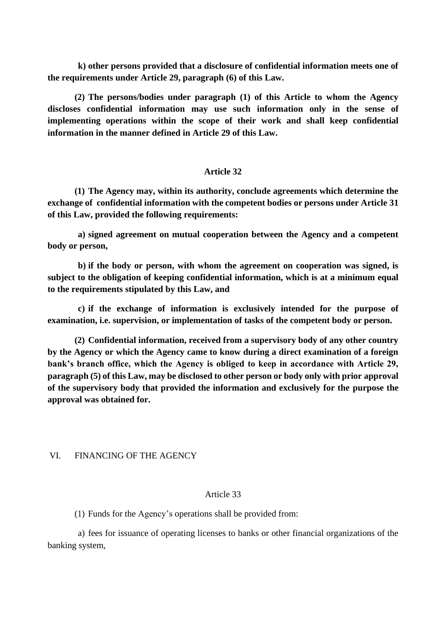**k) other persons provided that a disclosure of confidential information meets one of the requirements under Article 29, paragraph (6) of this Law.**

**(2) The persons/bodies under paragraph (1) of this Article to whom the Agency discloses confidential information may use such information only in the sense of implementing operations within the scope of their work and shall keep confidential information in the manner defined in Article 29 of this Law.**

## **Article 32**

**(1) The Agency may, within its authority, conclude agreements which determine the exchange of confidential information with the competent bodies or persons under Article 31 of this Law, provided the following requirements:**

**a) signed agreement on mutual cooperation between the Agency and a competent body or person,**

**b) if the body or person, with whom the agreement on cooperation was signed, is subject to the obligation of keeping confidential information, which is at a minimum equal to the requirements stipulated by this Law, and**

**c) if the exchange of information is exclusively intended for the purpose of examination, i.e. supervision, or implementation of tasks of the competent body or person.**

**(2) Confidential information, received from a supervisory body of any other country by the Agency or which the Agency came to know during a direct examination of a foreign bank's branch office, which the Agency is obliged to keep in accordance with Article 29, paragraph (5) of this Law, may be disclosed to other person or body only with prior approval of the supervisory body that provided the information and exclusively for the purpose the approval was obtained for.**

VI. FINANCING OF THE AGENCY

### Article 33

(1) Funds for the Agency's operations shall be provided from:

a) fees for issuance of operating licenses to banks or other financial organizations of the banking system,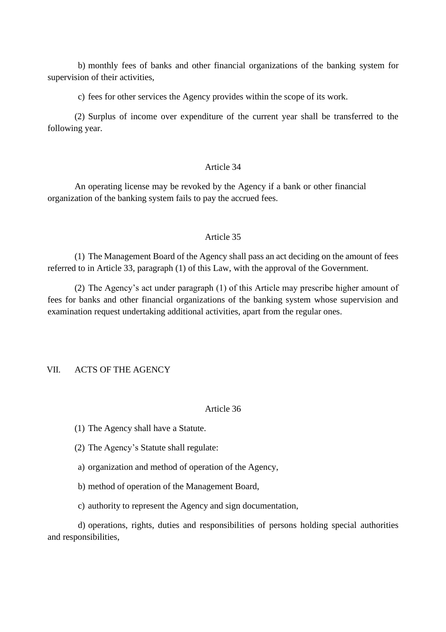b) monthly fees of banks and other financial organizations of the banking system for supervision of their activities,

c) fees for other services the Agency provides within the scope of its work.

(2) Surplus of income over expenditure of the current year shall be transferred to the following year.

### Article 34

An operating license may be revoked by the Agency if a bank or other financial organization of the banking system fails to pay the accrued fees.

### Article 35

(1) The Management Board of the Agency shall pass an act deciding on the amount of fees referred to in Article 33, paragraph (1) of this Law, with the approval of the Government.

(2) The Agency's act under paragraph (1) of this Article may prescribe higher amount of fees for banks and other financial organizations of the banking system whose supervision and examination request undertaking additional activities, apart from the regular ones.

## VII. ACTS OF THE AGENCY

### Article 36

- (1) The Agency shall have a Statute.
- (2) The Agency's Statute shall regulate:
- a) organization and method of operation of the Agency,
- b) method of operation of the Management Board,
- c) authority to represent the Agency and sign documentation,

d) operations, rights, duties and responsibilities of persons holding special authorities and responsibilities,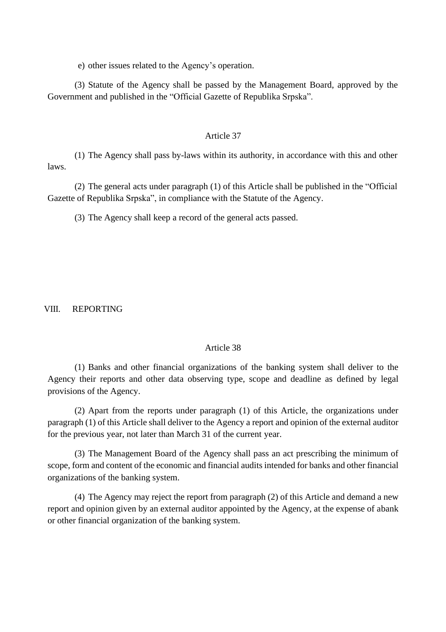e) other issues related to the Agency's operation.

(3) Statute of the Agency shall be passed by the Management Board, approved by the Government and published in the "Official Gazette of Republika Srpska".

### Article 37

laws. (1) The Agency shall pass by-laws within its authority, in accordance with this and other

(2) The general acts under paragraph (1) of this Article shall be published in the "Official Gazette of Republika Srpska", in compliance with the Statute of the Agency.

(3) The Agency shall keep a record of the general acts passed.

VIII. REPORTING

### Article 38

(1) Banks and other financial organizations of the banking system shall deliver to the Agency their reports and other data observing type, scope and deadline as defined by legal provisions of the Agency.

(2) Apart from the reports under paragraph (1) of this Article, the organizations under paragraph (1) of this Article shall deliver to the Agency a report and opinion of the external auditor for the previous year, not later than March 31 of the current year.

(3) The Management Board of the Agency shall pass an act prescribing the minimum of scope, form and content of the economic and financial audits intended for banks and other financial organizations of the banking system.

(4) The Agency may reject the report from paragraph (2) of this Article and demand a new report and opinion given by an external auditor appointed by the Agency, at the expense of abank or other financial organization of the banking system.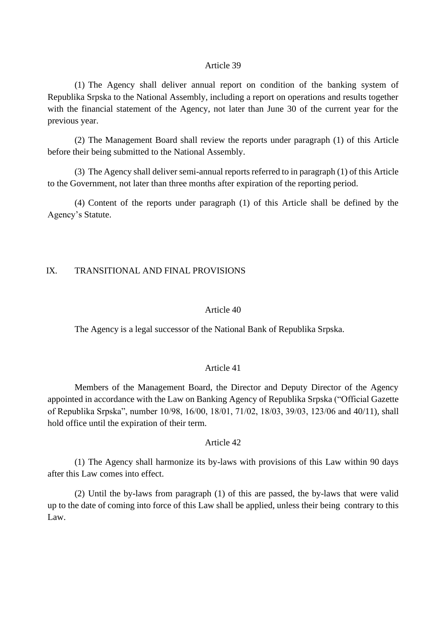(1) The Agency shall deliver annual report on condition of the banking system of Republika Srpska to the National Assembly, including a report on operations and results together with the financial statement of the Agency, not later than June 30 of the current year for the previous year.

(2) The Management Board shall review the reports under paragraph (1) of this Article before their being submitted to the National Assembly.

(3) The Agency shall deliver semi-annual reports referred to in paragraph (1) of this Article to the Government, not later than three months after expiration of the reporting period.

(4) Content of the reports under paragraph (1) of this Article shall be defined by the Agency's Statute.

### IX. TRANSITIONAL AND FINAL PROVISIONS

#### Article 40

The Agency is a legal successor of the National Bank of Republika Srpska.

## Article 41

Members of the Management Board, the Director and Deputy Director of the Agency appointed in accordance with the Law on Banking Agency of Republika Srpska ("Official Gazette of Republika Srpska", number 10/98, 16/00, 18/01, 71/02, 18/03, 39/03, 123/06 and 40/11), shall hold office until the expiration of their term.

#### Article 42

(1) The Agency shall harmonize its by-laws with provisions of this Law within 90 days after this Law comes into effect.

(2) Until the by-laws from paragraph (1) of this are passed, the by-laws that were valid up to the date of coming into force of this Law shall be applied, unless their being contrary to this Law.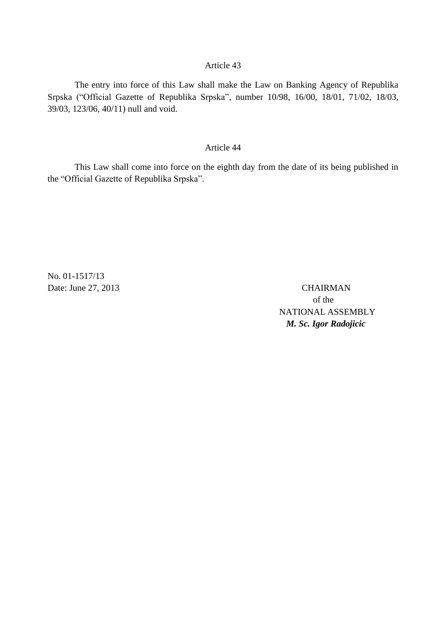The entry into force of this Law shall make the Law on Banking Agency of Republika Srpska ("Official Gazette of Republika Srpska", number 10/98, 16/00, 18/01, 71/02, 18/03, 39/03, 123/06, 40/11) null and void.

### Article 44

This Law shall come into force on the eighth day from the date of its being published in the "Official Gazette of Republika Srpska".

No. 01-1517/13 Date: June 27, 2013 CHAIRMAN

of the NATIONAL ASSEMBLY *M. Sc. Igor Radojicic*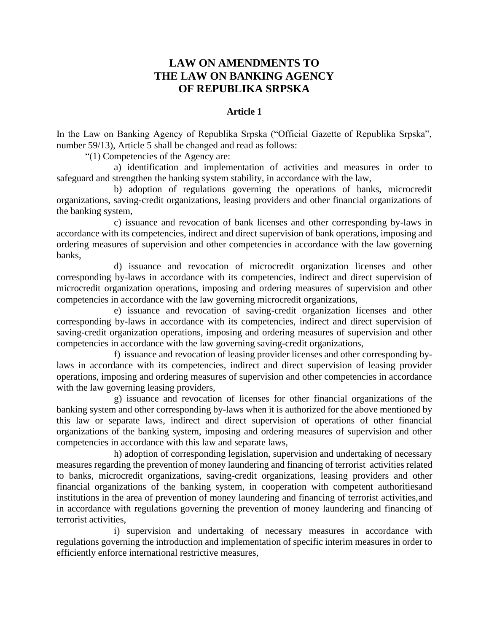# **LAW ON AMENDMENTS TO THE LAW ON BANKING AGENCY OF REPUBLIKA SRPSKA**

## **Article 1**

In the Law on Banking Agency of Republika Srpska ("Official Gazette of Republika Srpska", number 59/13), Article 5 shall be changed and read as follows:

"(1) Competencies of the Agency are:

a) identification and implementation of activities and measures in order to safeguard and strengthen the banking system stability, in accordance with the law,

b) adoption of regulations governing the operations of banks, microcredit organizations, saving-credit organizations, leasing providers and other financial organizations of the banking system,

c) issuance and revocation of bank licenses and other corresponding by-laws in accordance with its competencies, indirect and direct supervision of bank operations, imposing and ordering measures of supervision and other competencies in accordance with the law governing banks,

d) issuance and revocation of microcredit organization licenses and other corresponding by-laws in accordance with its competencies, indirect and direct supervision of microcredit organization operations, imposing and ordering measures of supervision and other competencies in accordance with the law governing microcredit organizations,

e) issuance and revocation of saving-credit organization licenses and other corresponding by-laws in accordance with its competencies, indirect and direct supervision of saving-credit organization operations, imposing and ordering measures of supervision and other competencies in accordance with the law governing saving-credit organizations,

f) issuance and revocation of leasing provider licenses and other corresponding bylaws in accordance with its competencies, indirect and direct supervision of leasing provider operations, imposing and ordering measures of supervision and other competencies in accordance with the law governing leasing providers,

g) issuance and revocation of licenses for other financial organizations of the banking system and other corresponding by-laws when it is authorized for the above mentioned by this law or separate laws, indirect and direct supervision of operations of other financial organizations of the banking system, imposing and ordering measures of supervision and other competencies in accordance with this law and separate laws,

h) adoption of corresponding legislation, supervision and undertaking of necessary measures regarding the prevention of money laundering and financing of terrorist activities related to banks, microcredit organizations, saving-credit organizations, leasing providers and other financial organizations of the banking system, in cooperation with competent authoritiesand institutions in the area of prevention of money laundering and financing of terrorist activities,and in accordance with regulations governing the prevention of money laundering and financing of terrorist activities,

i) supervision and undertaking of necessary measures in accordance with regulations governing the introduction and implementation of specific interim measures in order to efficiently enforce international restrictive measures,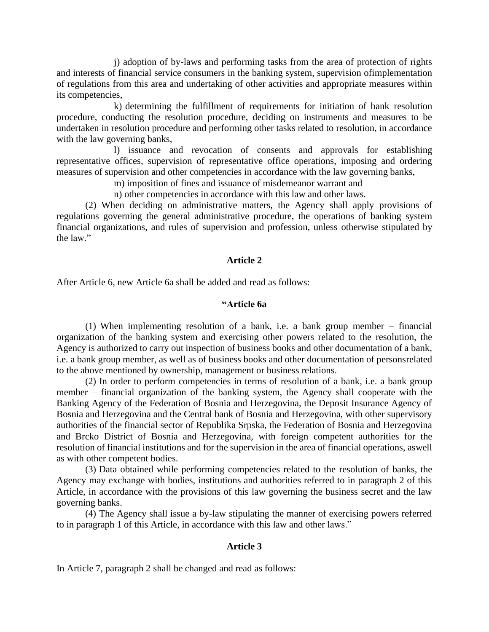j) adoption of by-laws and performing tasks from the area of protection of rights and interests of financial service consumers in the banking system, supervision ofimplementation of regulations from this area and undertaking of other activities and appropriate measures within its competencies,

k) determining the fulfillment of requirements for initiation of bank resolution procedure, conducting the resolution procedure, deciding on instruments and measures to be undertaken in resolution procedure and performing other tasks related to resolution, in accordance with the law governing banks,

l) issuance and revocation of consents and approvals for establishing representative offices, supervision of representative office operations, imposing and ordering measures of supervision and other competencies in accordance with the law governing banks,

m) imposition of fines and issuance of misdemeanor warrant and

n) other competencies in accordance with this law and other laws.

(2) When deciding on administrative matters, the Agency shall apply provisions of regulations governing the general administrative procedure, the operations of banking system financial organizations, and rules of supervision and profession, unless otherwise stipulated by the law."

#### **Article 2**

After Article 6, new Article 6a shall be added and read as follows:

### **"Article 6a**

(1) When implementing resolution of a bank, i.e. a bank group member – financial organization of the banking system and exercising other powers related to the resolution, the Agency is authorized to carry out inspection of business books and other documentation of a bank, i.e. a bank group member, as well as of business books and other documentation of personsrelated to the above mentioned by ownership, management or business relations.

(2) In order to perform competencies in terms of resolution of a bank, i.e. a bank group member – financial organization of the banking system, the Agency shall cooperate with the Banking Agency of the Federation of Bosnia and Herzegovina, the Deposit Insurance Agency of Bosnia and Herzegovina and the Central bank of Bosnia and Herzegovina, with other supervisory authorities of the financial sector of Republika Srpska, the Federation of Bosnia and Herzegovina and Brcko District of Bosnia and Herzegovina, with foreign competent authorities for the resolution of financial institutions and for the supervision in the area of financial operations, aswell as with other competent bodies.

(3) Data obtained while performing competencies related to the resolution of banks, the Agency may exchange with bodies, institutions and authorities referred to in paragraph 2 of this Article, in accordance with the provisions of this law governing the business secret and the law governing banks.

(4) The Agency shall issue a by-law stipulating the manner of exercising powers referred to in paragraph 1 of this Article, in accordance with this law and other laws."

#### **Article 3**

In Article 7, paragraph 2 shall be changed and read as follows: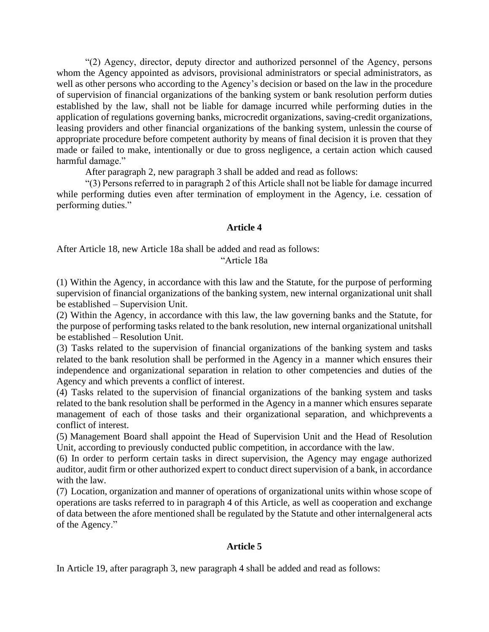"(2) Agency, director, deputy director and authorized personnel of the Agency, persons whom the Agency appointed as advisors, provisional administrators or special administrators, as well as other persons who according to the Agency's decision or based on the law in the procedure of supervision of financial organizations of the banking system or bank resolution perform duties established by the law, shall not be liable for damage incurred while performing duties in the application of regulations governing banks, microcredit organizations, saving-credit organizations, leasing providers and other financial organizations of the banking system, unlessin the course of appropriate procedure before competent authority by means of final decision it is proven that they made or failed to make, intentionally or due to gross negligence, a certain action which caused harmful damage."

After paragraph 2, new paragraph 3 shall be added and read as follows:

"(3) Persons referred to in paragraph 2 of this Article shall not be liable for damage incurred while performing duties even after termination of employment in the Agency, i.e. cessation of performing duties."

#### **Article 4**

After Article 18, new Article 18a shall be added and read as follows: "Article 18a

(1) Within the Agency, in accordance with this law and the Statute, for the purpose of performing supervision of financial organizations of the banking system, new internal organizational unit shall be established – Supervision Unit.

(2) Within the Agency, in accordance with this law, the law governing banks and the Statute, for the purpose of performing tasks related to the bank resolution, new internal organizational unitshall be established – Resolution Unit.

(3) Tasks related to the supervision of financial organizations of the banking system and tasks related to the bank resolution shall be performed in the Agency in a manner which ensures their independence and organizational separation in relation to other competencies and duties of the Agency and which prevents a conflict of interest.

(4) Tasks related to the supervision of financial organizations of the banking system and tasks related to the bank resolution shall be performed in the Agency in a manner which ensures separate management of each of those tasks and their organizational separation, and whichprevents a conflict of interest.

(5) Management Board shall appoint the Head of Supervision Unit and the Head of Resolution Unit, according to previously conducted public competition, in accordance with the law.

(6) In order to perform certain tasks in direct supervision, the Agency may engage authorized auditor, audit firm or other authorized expert to conduct direct supervision of a bank, in accordance with the law.

(7) Location, organization and manner of operations of organizational units within whose scope of operations are tasks referred to in paragraph 4 of this Article, as well as cooperation and exchange of data between the afore mentioned shall be regulated by the Statute and other internalgeneral acts of the Agency."

### **Article 5**

In Article 19, after paragraph 3, new paragraph 4 shall be added and read as follows: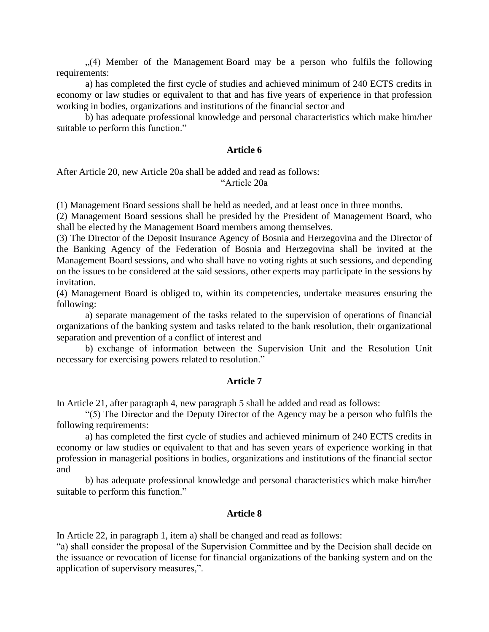", (4) Member of the Management Board may be a person who fulfils the following requirements:

a) has completed the first cycle of studies and achieved minimum of 240 ECTS credits in economy or law studies or equivalent to that and has five years of experience in that profession working in bodies, organizations and institutions of the financial sector and

b) has adequate professional knowledge and personal characteristics which make him/her suitable to perform this function."

### **Article 6**

#### After Article 20, new Article 20a shall be added and read as follows: "Article 20a

(1) Management Board sessions shall be held as needed, and at least once in three months.

(2) Management Board sessions shall be presided by the President of Management Board, who shall be elected by the Management Board members among themselves.

(3) The Director of the Deposit Insurance Agency of Bosnia and Herzegovina and the Director of the Banking Agency of the Federation of Bosnia and Herzegovina shall be invited at the Management Board sessions, and who shall have no voting rights at such sessions, and depending on the issues to be considered at the said sessions, other experts may participate in the sessions by invitation.

(4) Management Board is obliged to, within its competencies, undertake measures ensuring the following:

a) separate management of the tasks related to the supervision of operations of financial organizations of the banking system and tasks related to the bank resolution, their organizational separation and prevention of a conflict of interest and

b) exchange of information between the Supervision Unit and the Resolution Unit necessary for exercising powers related to resolution."

#### **Article 7**

In Article 21, after paragraph 4, new paragraph 5 shall be added and read as follows:

"(5) The Director and the Deputy Director of the Agency may be a person who fulfils the following requirements:

a) has completed the first cycle of studies and achieved minimum of 240 ECTS credits in economy or law studies or equivalent to that and has seven years of experience working in that profession in managerial positions in bodies, organizations and institutions of the financial sector and

b) has adequate professional knowledge and personal characteristics which make him/her suitable to perform this function."

### **Article 8**

In Article 22, in paragraph 1, item a) shall be changed and read as follows:

"a) shall consider the proposal of the Supervision Committee and by the Decision shall decide on the issuance or revocation of license for financial organizations of the banking system and on the application of supervisory measures,".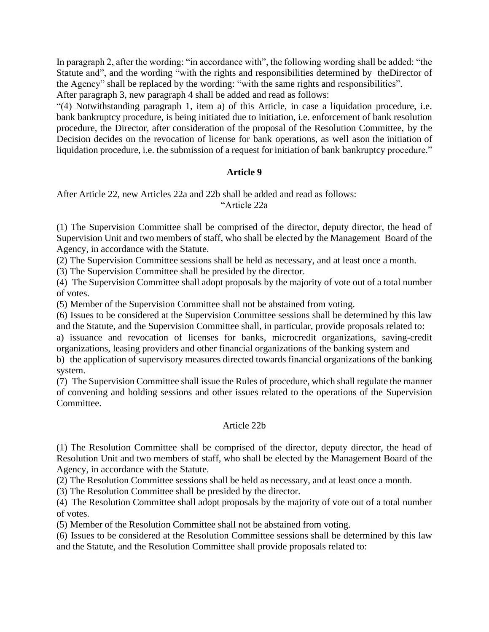In paragraph 2, after the wording: "in accordance with", the following wording shall be added: "the Statute and", and the wording "with the rights and responsibilities determined by theDirector of the Agency" shall be replaced by the wording: "with the same rights and responsibilities". After paragraph 3, new paragraph 4 shall be added and read as follows:

"(4) Notwithstanding paragraph 1, item a) of this Article, in case a liquidation procedure, i.e. bank bankruptcy procedure, is being initiated due to initiation, i.e. enforcement of bank resolution procedure, the Director, after consideration of the proposal of the Resolution Committee, by the Decision decides on the revocation of license for bank operations, as well ason the initiation of liquidation procedure, i.e. the submission of a request for initiation of bank bankruptcy procedure."

## **Article 9**

After Article 22, new Articles 22a and 22b shall be added and read as follows: "Article 22a

(1) The Supervision Committee shall be comprised of the director, deputy director, the head of Supervision Unit and two members of staff, who shall be elected by the Management Board of the Agency, in accordance with the Statute.

(2) The Supervision Committee sessions shall be held as necessary, and at least once a month.

(3) The Supervision Committee shall be presided by the director.

(4) The Supervision Committee shall adopt proposals by the majority of vote out of a total number of votes.

(5) Member of the Supervision Committee shall not be abstained from voting.

(6) Issues to be considered at the Supervision Committee sessions shall be determined by this law and the Statute, and the Supervision Committee shall, in particular, provide proposals related to:

a) issuance and revocation of licenses for banks, microcredit organizations, saving-credit organizations, leasing providers and other financial organizations of the banking system and

b) the application of supervisory measures directed towards financial organizations of the banking system.

(7) The Supervision Committee shall issue the Rules of procedure, which shall regulate the manner of convening and holding sessions and other issues related to the operations of the Supervision Committee.

## Article 22b

(1) The Resolution Committee shall be comprised of the director, deputy director, the head of Resolution Unit and two members of staff, who shall be elected by the Management Board of the Agency, in accordance with the Statute.

(2) The Resolution Committee sessions shall be held as necessary, and at least once a month.

(3) The Resolution Committee shall be presided by the director.

(4) The Resolution Committee shall adopt proposals by the majority of vote out of a total number of votes.

(5) Member of the Resolution Committee shall not be abstained from voting.

(6) Issues to be considered at the Resolution Committee sessions shall be determined by this law and the Statute, and the Resolution Committee shall provide proposals related to: